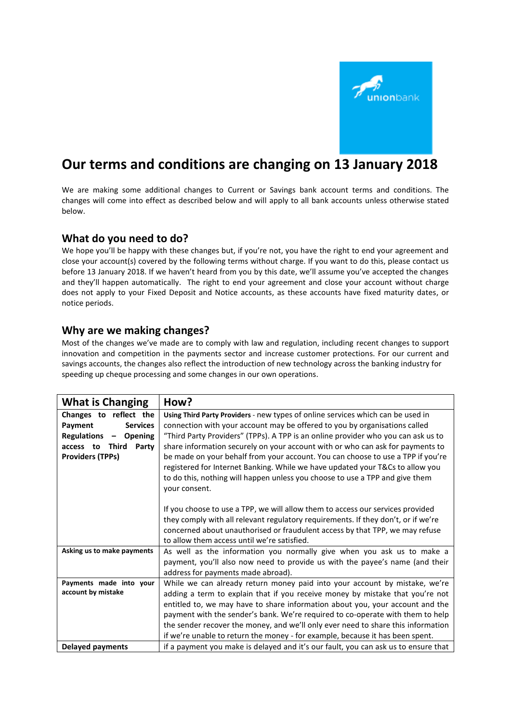

## **Our terms and conditions are changing on 13 January 2018**

We are making some additional changes to Current or Savings bank account terms and conditions. The changes will come into effect as described below and will apply to all bank accounts unless otherwise stated below.

## **What do you need to do?**

We hope you'll be happy with these changes but, if you're not, you have the right to end your agreement and close your account(s) covered by the following terms without charge. If you want to do this, please contact us before 13 January 2018. If we haven't heard from you by this date, we'll assume you've accepted the changes and they'll happen automatically. The right to end your agreement and close your account without charge does not apply to your Fixed Deposit and Notice accounts, as these accounts have fixed maturity dates, or notice periods.

## **Why are we making changes?**

Most of the changes we've made are to comply with law and regulation, including recent changes to support innovation and competition in the payments sector and increase customer protections. For our current and savings accounts, the changes also reflect the introduction of new technology across the banking industry for speeding up cheque processing and some changes in our own operations.

| <b>What is Changing</b>            | How?                                                                               |  |  |  |  |  |  |  |  |  |  |
|------------------------------------|------------------------------------------------------------------------------------|--|--|--|--|--|--|--|--|--|--|
| Changes to reflect the             | Using Third Party Providers - new types of online services which can be used in    |  |  |  |  |  |  |  |  |  |  |
| Payment<br><b>Services</b>         | connection with your account may be offered to you by organisations called         |  |  |  |  |  |  |  |  |  |  |
| Regulations<br>- Opening           | "Third Party Providers" (TPPs). A TPP is an online provider who you can ask us to  |  |  |  |  |  |  |  |  |  |  |
| <b>Third</b><br>Party<br>access to | share information securely on your account with or who can ask for payments to     |  |  |  |  |  |  |  |  |  |  |
| <b>Providers (TPPs)</b>            | be made on your behalf from your account. You can choose to use a TPP if you're    |  |  |  |  |  |  |  |  |  |  |
|                                    | registered for Internet Banking. While we have updated your T&Cs to allow you      |  |  |  |  |  |  |  |  |  |  |
|                                    | to do this, nothing will happen unless you choose to use a TPP and give them       |  |  |  |  |  |  |  |  |  |  |
|                                    | your consent.                                                                      |  |  |  |  |  |  |  |  |  |  |
|                                    |                                                                                    |  |  |  |  |  |  |  |  |  |  |
|                                    | If you choose to use a TPP, we will allow them to access our services provided     |  |  |  |  |  |  |  |  |  |  |
|                                    | they comply with all relevant regulatory requirements. If they don't, or if we're  |  |  |  |  |  |  |  |  |  |  |
|                                    | concerned about unauthorised or fraudulent access by that TPP, we may refuse       |  |  |  |  |  |  |  |  |  |  |
|                                    | to allow them access until we're satisfied.                                        |  |  |  |  |  |  |  |  |  |  |
| Asking us to make payments         | As well as the information you normally give when you ask us to make a             |  |  |  |  |  |  |  |  |  |  |
|                                    | payment, you'll also now need to provide us with the payee's name (and their       |  |  |  |  |  |  |  |  |  |  |
|                                    | address for payments made abroad).                                                 |  |  |  |  |  |  |  |  |  |  |
| Payments made into your            | While we can already return money paid into your account by mistake, we're         |  |  |  |  |  |  |  |  |  |  |
| account by mistake                 | adding a term to explain that if you receive money by mistake that you're not      |  |  |  |  |  |  |  |  |  |  |
|                                    | entitled to, we may have to share information about you, your account and the      |  |  |  |  |  |  |  |  |  |  |
|                                    | payment with the sender's bank. We're required to co-operate with them to help     |  |  |  |  |  |  |  |  |  |  |
|                                    | the sender recover the money, and we'll only ever need to share this information   |  |  |  |  |  |  |  |  |  |  |
|                                    | if we're unable to return the money - for example, because it has been spent.      |  |  |  |  |  |  |  |  |  |  |
| <b>Delayed payments</b>            | if a payment you make is delayed and it's our fault, you can ask us to ensure that |  |  |  |  |  |  |  |  |  |  |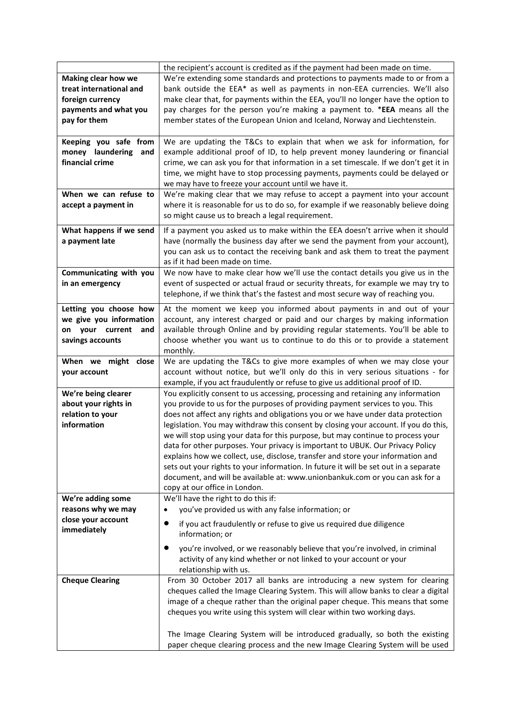|                                                                                                                    | the recipient's account is credited as if the payment had been made on time.                                                                                                                                                                                                                                                                                                                                                                                                                                                                                                                                                                                                                                                                                                                                 |
|--------------------------------------------------------------------------------------------------------------------|--------------------------------------------------------------------------------------------------------------------------------------------------------------------------------------------------------------------------------------------------------------------------------------------------------------------------------------------------------------------------------------------------------------------------------------------------------------------------------------------------------------------------------------------------------------------------------------------------------------------------------------------------------------------------------------------------------------------------------------------------------------------------------------------------------------|
| <b>Making clear how we</b><br>treat international and<br>foreign currency<br>payments and what you<br>pay for them | We're extending some standards and protections to payments made to or from a<br>bank outside the EEA* as well as payments in non-EEA currencies. We'll also<br>make clear that, for payments within the EEA, you'll no longer have the option to<br>pay charges for the person you're making a payment to. *EEA means all the<br>member states of the European Union and Iceland, Norway and Liechtenstein.                                                                                                                                                                                                                                                                                                                                                                                                  |
| Keeping you safe from<br>money laundering<br>and<br>financial crime                                                | We are updating the T&Cs to explain that when we ask for information, for<br>example additional proof of ID, to help prevent money laundering or financial<br>crime, we can ask you for that information in a set timescale. If we don't get it in<br>time, we might have to stop processing payments, payments could be delayed or<br>we may have to freeze your account until we have it.                                                                                                                                                                                                                                                                                                                                                                                                                  |
| When we can refuse to<br>accept a payment in                                                                       | We're making clear that we may refuse to accept a payment into your account<br>where it is reasonable for us to do so, for example if we reasonably believe doing<br>so might cause us to breach a legal requirement.                                                                                                                                                                                                                                                                                                                                                                                                                                                                                                                                                                                        |
| What happens if we send<br>a payment late                                                                          | If a payment you asked us to make within the EEA doesn't arrive when it should<br>have (normally the business day after we send the payment from your account),<br>you can ask us to contact the receiving bank and ask them to treat the payment<br>as if it had been made on time.                                                                                                                                                                                                                                                                                                                                                                                                                                                                                                                         |
| Communicating with you<br>in an emergency                                                                          | We now have to make clear how we'll use the contact details you give us in the<br>event of suspected or actual fraud or security threats, for example we may try to<br>telephone, if we think that's the fastest and most secure way of reaching you.                                                                                                                                                                                                                                                                                                                                                                                                                                                                                                                                                        |
| Letting you choose how<br>we give you information<br>your current<br>and<br>on<br>savings accounts                 | At the moment we keep you informed about payments in and out of your<br>account, any interest charged or paid and our charges by making information<br>available through Online and by providing regular statements. You'll be able to<br>choose whether you want us to continue to do this or to provide a statement<br>monthly.                                                                                                                                                                                                                                                                                                                                                                                                                                                                            |
| When we might close<br>your account                                                                                | We are updating the T&Cs to give more examples of when we may close your<br>account without notice, but we'll only do this in very serious situations - for<br>example, if you act fraudulently or refuse to give us additional proof of ID.                                                                                                                                                                                                                                                                                                                                                                                                                                                                                                                                                                 |
| We're being clearer<br>about your rights in<br>relation to your<br>information                                     | You explicitly consent to us accessing, processing and retaining any information<br>you provide to us for the purposes of providing payment services to you. This<br>does not affect any rights and obligations you or we have under data protection<br>legislation. You may withdraw this consent by closing your account. If you do this,<br>we will stop using your data for this purpose, but may continue to process your<br>data for other purposes. Your privacy is important to UBUK. Our Privacy Policy<br>explains how we collect, use, disclose, transfer and store your information and<br>sets out your rights to your information. In future it will be set out in a separate<br>document, and will be available at: www.unionbankuk.com or you can ask for a<br>copy at our office in London. |
| We're adding some                                                                                                  | We'll have the right to do this if:                                                                                                                                                                                                                                                                                                                                                                                                                                                                                                                                                                                                                                                                                                                                                                          |
| reasons why we may<br>close your account<br>immediately                                                            | you've provided us with any false information; or<br>$\bullet$<br>$\bullet$<br>if you act fraudulently or refuse to give us required due diligence<br>information; or<br>you're involved, or we reasonably believe that you're involved, in criminal<br>$\bullet$                                                                                                                                                                                                                                                                                                                                                                                                                                                                                                                                            |
|                                                                                                                    | activity of any kind whether or not linked to your account or your<br>relationship with us.                                                                                                                                                                                                                                                                                                                                                                                                                                                                                                                                                                                                                                                                                                                  |
| <b>Cheque Clearing</b>                                                                                             | From 30 October 2017 all banks are introducing a new system for clearing<br>cheques called the Image Clearing System. This will allow banks to clear a digital<br>image of a cheque rather than the original paper cheque. This means that some<br>cheques you write using this system will clear within two working days.                                                                                                                                                                                                                                                                                                                                                                                                                                                                                   |
|                                                                                                                    | The Image Clearing System will be introduced gradually, so both the existing<br>paper cheque clearing process and the new Image Clearing System will be used                                                                                                                                                                                                                                                                                                                                                                                                                                                                                                                                                                                                                                                 |